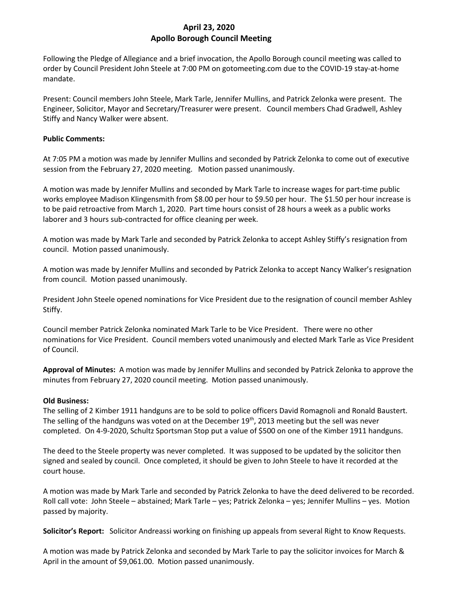# **April 23, 2020 Apollo Borough Council Meeting**

Following the Pledge of Allegiance and a brief invocation, the Apollo Borough council meeting was called to order by Council President John Steele at 7:00 PM on gotomeeting.com due to the COVID-19 stay-at-home mandate.

Present: Council members John Steele, Mark Tarle, Jennifer Mullins, and Patrick Zelonka were present. The Engineer, Solicitor, Mayor and Secretary/Treasurer were present. Council members Chad Gradwell, Ashley Stiffy and Nancy Walker were absent.

## **Public Comments:**

At 7:05 PM a motion was made by Jennifer Mullins and seconded by Patrick Zelonka to come out of executive session from the February 27, 2020 meeting. Motion passed unanimously.

A motion was made by Jennifer Mullins and seconded by Mark Tarle to increase wages for part-time public works employee Madison Klingensmith from \$8.00 per hour to \$9.50 per hour. The \$1.50 per hour increase is to be paid retroactive from March 1, 2020. Part time hours consist of 28 hours a week as a public works laborer and 3 hours sub-contracted for office cleaning per week.

A motion was made by Mark Tarle and seconded by Patrick Zelonka to accept Ashley Stiffy's resignation from council. Motion passed unanimously.

A motion was made by Jennifer Mullins and seconded by Patrick Zelonka to accept Nancy Walker's resignation from council. Motion passed unanimously.

President John Steele opened nominations for Vice President due to the resignation of council member Ashley Stiffy.

Council member Patrick Zelonka nominated Mark Tarle to be Vice President. There were no other nominations for Vice President. Council members voted unanimously and elected Mark Tarle as Vice President of Council.

**Approval of Minutes:** A motion was made by Jennifer Mullins and seconded by Patrick Zelonka to approve the minutes from February 27, 2020 council meeting. Motion passed unanimously.

# **Old Business:**

The selling of 2 Kimber 1911 handguns are to be sold to police officers David Romagnoli and Ronald Baustert. The selling of the handguns was voted on at the December  $19<sup>th</sup>$ , 2013 meeting but the sell was never completed. On 4-9-2020, Schultz Sportsman Stop put a value of \$500 on one of the Kimber 1911 handguns.

The deed to the Steele property was never completed. It was supposed to be updated by the solicitor then signed and sealed by council. Once completed, it should be given to John Steele to have it recorded at the court house.

A motion was made by Mark Tarle and seconded by Patrick Zelonka to have the deed delivered to be recorded. Roll call vote: John Steele – abstained; Mark Tarle – yes; Patrick Zelonka – yes; Jennifer Mullins – yes. Motion passed by majority.

**Solicitor's Report:** Solicitor Andreassi working on finishing up appeals from several Right to Know Requests.

A motion was made by Patrick Zelonka and seconded by Mark Tarle to pay the solicitor invoices for March & April in the amount of \$9,061.00. Motion passed unanimously.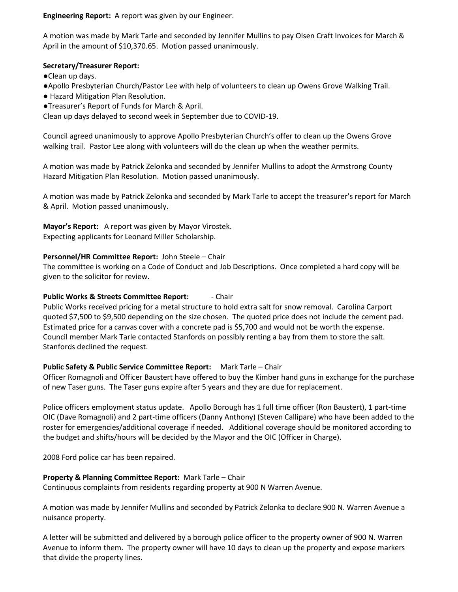**Engineering Report:** A report was given by our Engineer.

A motion was made by Mark Tarle and seconded by Jennifer Mullins to pay Olsen Craft Invoices for March & April in the amount of \$10,370.65. Motion passed unanimously.

### **Secretary/Treasurer Report:**

- ●Clean up days.
- ●Apollo Presbyterian Church/Pastor Lee with help of volunteers to clean up Owens Grove Walking Trail.
- Hazard Mitigation Plan Resolution.
- ●Treasurer's Report of Funds for March & April.

Clean up days delayed to second week in September due to COVID-19.

Council agreed unanimously to approve Apollo Presbyterian Church's offer to clean up the Owens Grove walking trail. Pastor Lee along with volunteers will do the clean up when the weather permits.

A motion was made by Patrick Zelonka and seconded by Jennifer Mullins to adopt the Armstrong County Hazard Mitigation Plan Resolution. Motion passed unanimously.

A motion was made by Patrick Zelonka and seconded by Mark Tarle to accept the treasurer's report for March & April. Motion passed unanimously.

**Mayor's Report:** A report was given by Mayor Virostek. Expecting applicants for Leonard Miller Scholarship.

## **Personnel/HR Committee Report:** John Steele – Chair

The committee is working on a Code of Conduct and Job Descriptions. Once completed a hard copy will be given to the solicitor for review.

### **Public Works & Streets Committee Report:** - Chair

Public Works received pricing for a metal structure to hold extra salt for snow removal. Carolina Carport quoted \$7,500 to \$9,500 depending on the size chosen. The quoted price does not include the cement pad. Estimated price for a canvas cover with a concrete pad is \$5,700 and would not be worth the expense. Council member Mark Tarle contacted Stanfords on possibly renting a bay from them to store the salt. Stanfords declined the request.

### **Public Safety & Public Service Committee Report:** Mark Tarle – Chair

Officer Romagnoli and Officer Baustert have offered to buy the Kimber hand guns in exchange for the purchase of new Taser guns. The Taser guns expire after 5 years and they are due for replacement.

Police officers employment status update. Apollo Borough has 1 full time officer (Ron Baustert), 1 part-time OIC (Dave Romagnoli) and 2 part-time officers (Danny Anthony) (Steven Callipare) who have been added to the roster for emergencies/additional coverage if needed. Additional coverage should be monitored according to the budget and shifts/hours will be decided by the Mayor and the OIC (Officer in Charge).

2008 Ford police car has been repaired.

### **Property & Planning Committee Report:** Mark Tarle – Chair

Continuous complaints from residents regarding property at 900 N Warren Avenue.

A motion was made by Jennifer Mullins and seconded by Patrick Zelonka to declare 900 N. Warren Avenue a nuisance property.

A letter will be submitted and delivered by a borough police officer to the property owner of 900 N. Warren Avenue to inform them. The property owner will have 10 days to clean up the property and expose markers that divide the property lines.